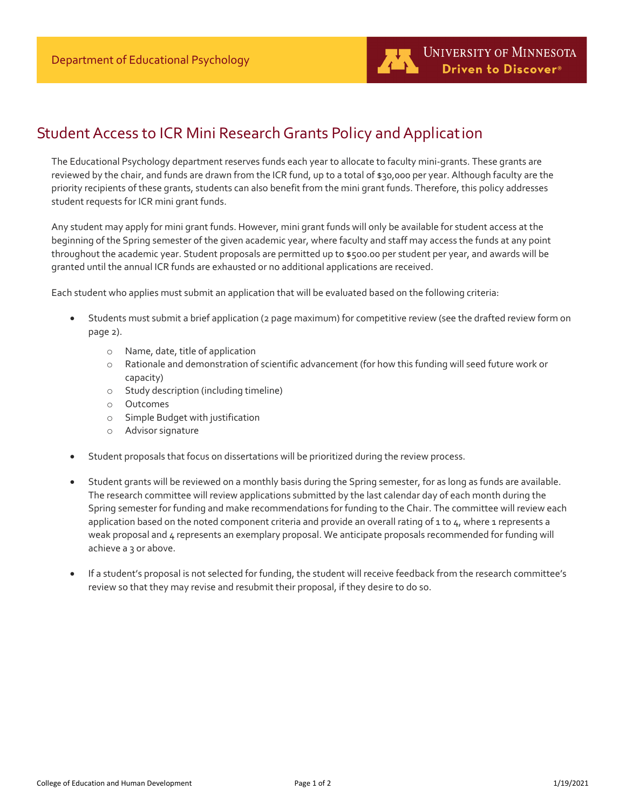## Student Access to ICR Mini Research Grants Policy and Application

The Educational Psychology department reserves funds each year to allocate to faculty mini-grants. These grants are reviewed by the chair, and funds are drawn from the ICR fund, up to a total of \$30,000 per year. Although faculty are the priority recipients of these grants, students can also benefit from the mini grant funds. Therefore, this policy addresses student requests for ICR mini grant funds.

Any student may apply for mini grant funds. However, mini grant funds will only be available for student access at the beginning of the Spring semester of the given academic year, where faculty and staff may access the funds at any point throughout the academic year. Student proposals are permitted up to \$500.00 per student per year, and awards will be granted until the annual ICR funds are exhausted or no additional applications are received.

Each student who applies must submit an application that will be evaluated based on the following criteria:

- Students must submit a brief application (2 page maximum) for competitive review (see the drafted review form on page 2).
	- o Name, date, title of application
	- o Rationale and demonstration of scientific advancement (for how this funding will seed future work or capacity)
	- o Study description (including timeline)
	- o Outcomes
	- o Simple Budget with justification
	- o Advisor signature
- Student proposals that focus on dissertations will be prioritized during the review process.
- Student grants will be reviewed on a monthly basis during the Spring semester, for as long as funds are available. The research committee will review applications submitted by the last calendar day of each month during the Spring semester for funding and make recommendations for funding to the Chair. The committee will review each application based on the noted component criteria and provide an overall rating of 1 to  $4$ , where 1 represents a weak proposal and  $4$  represents an exemplary proposal. We anticipate proposals recommended for funding will achieve a 3 or above.
- If a student's proposal is not selected for funding, the student will receive feedback from the research committee's review so that they may revise and resubmit their proposal, if they desire to do so.